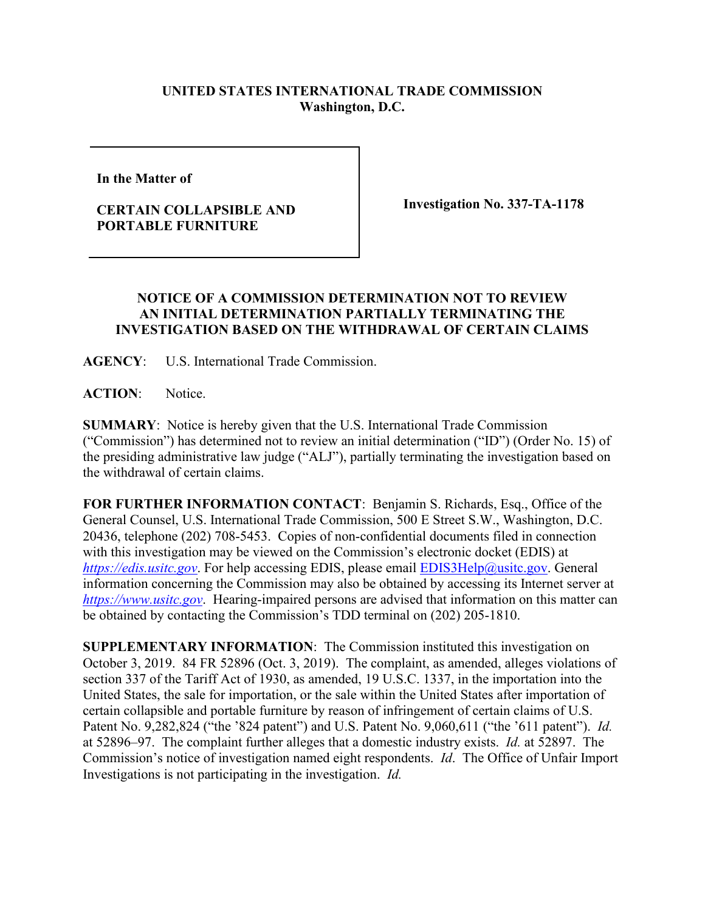## **UNITED STATES INTERNATIONAL TRADE COMMISSION Washington, D.C.**

**In the Matter of** 

## **CERTAIN COLLAPSIBLE AND PORTABLE FURNITURE**

**Investigation No. 337-TA-1178**

## **NOTICE OF A COMMISSION DETERMINATION NOT TO REVIEW AN INITIAL DETERMINATION PARTIALLY TERMINATING THE INVESTIGATION BASED ON THE WITHDRAWAL OF CERTAIN CLAIMS**

**AGENCY**: U.S. International Trade Commission.

**ACTION**: Notice.

**SUMMARY**: Notice is hereby given that the U.S. International Trade Commission ("Commission") has determined not to review an initial determination ("ID") (Order No. 15) of the presiding administrative law judge ("ALJ"), partially terminating the investigation based on the withdrawal of certain claims.

**FOR FURTHER INFORMATION CONTACT**: Benjamin S. Richards, Esq., Office of the General Counsel, U.S. International Trade Commission, 500 E Street S.W., Washington, D.C. 20436, telephone (202) 708-5453. Copies of non-confidential documents filed in connection with this investigation may be viewed on the Commission's electronic docket (EDIS) at *[https://edis.usitc.gov](https://edis.usitc.gov/).* For help accessing EDIS, please email [EDIS3Help@usitc.gov.](mailto:EDIS3Help@usitc.gov) General information concerning the Commission may also be obtained by accessing its Internet server at *[https://www.usitc.gov](https://www.usitc.gov/)*. Hearing-impaired persons are advised that information on this matter can be obtained by contacting the Commission's TDD terminal on (202) 205-1810.

**SUPPLEMENTARY INFORMATION**: The Commission instituted this investigation on October 3, 2019. 84 FR 52896 (Oct. 3, 2019). The complaint, as amended, alleges violations of section 337 of the Tariff Act of 1930, as amended, 19 U.S.C. 1337, in the importation into the United States, the sale for importation, or the sale within the United States after importation of certain collapsible and portable furniture by reason of infringement of certain claims of U.S. Patent No. 9,282,824 ("the '824 patent") and U.S. Patent No. 9,060,611 ("the '611 patent"). *Id.* at 52896–97. The complaint further alleges that a domestic industry exists. *Id.* at 52897. The Commission's notice of investigation named eight respondents. *Id*. The Office of Unfair Import Investigations is not participating in the investigation. *Id.*